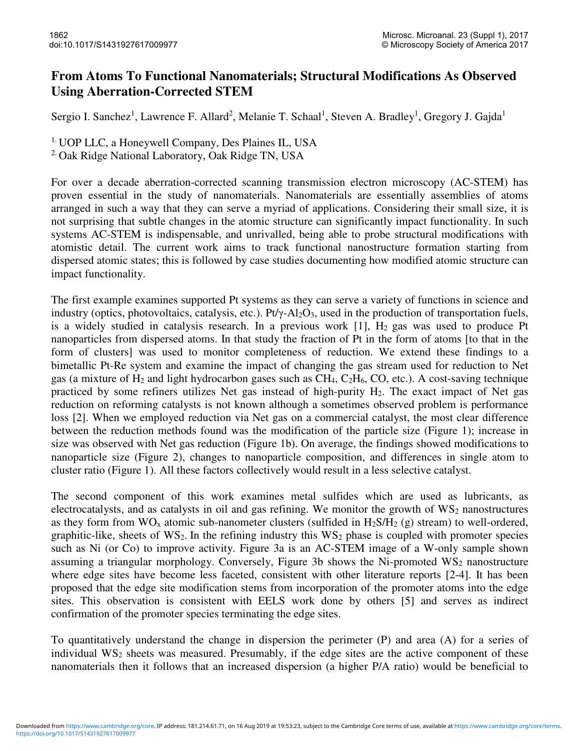## **From Atoms To Functional Nanomaterials; Structural Modifications As Observed Using Aberration-Corrected STEM**

Sergio I. Sanchez<sup>1</sup>, Lawrence F. Allard<sup>2</sup>, Melanie T. Schaal<sup>1</sup>, Steven A. Bradley<sup>1</sup>, Gregory J. Gajda<sup>1</sup>

1. UOP LLC, a Honeywell Company, Des Plaines IL, USA

<sup>2.</sup> Oak Ridge National Laboratory, Oak Ridge TN, USA

For over a decade aberration-corrected scanning transmission electron microscopy (AC-STEM) has proven essential in the study of nanomaterials. Nanomaterials are essentially assemblies of atoms arranged in such a way that they can serve a myriad of applications. Considering their small size, it is not surprising that subtle changes in the atomic structure can significantly impact functionality. In such systems AC-STEM is indispensable, and unrivalled, being able to probe structural modifications with atomistic detail. The current work aims to track functional nanostructure formation starting from dispersed atomic states; this is followed by case studies documenting how modified atomic structure can impact functionality.

The first example examines supported Pt systems as they can serve a variety of functions in science and industry (optics, photovoltaics, catalysis, etc.). Pt/γ-Al<sub>2</sub>O<sub>3</sub>, used in the production of transportation fuels, is a widely studied in catalysis research. In a previous work  $[1]$ ,  $H_2$  gas was used to produce Pt nanoparticles from dispersed atoms. In that study the fraction of Pt in the form of atoms [to that in the form of clusters] was used to monitor completeness of reduction. We extend these findings to a bimetallic Pt-Re system and examine the impact of changing the gas stream used for reduction to Net gas (a mixture of  $H_2$  and light hydrocarbon gases such as  $CH_4$ ,  $C_2H_6$ , CO, etc.). A cost-saving technique practiced by some refiners utilizes Net gas instead of high-purity  $H_2$ . The exact impact of Net gas reduction on reforming catalysts is not known although a sometimes observed problem is performance loss [2]. When we employed reduction via Net gas on a commercial catalyst, the most clear difference between the reduction methods found was the modification of the particle size (Figure 1); increase in size was observed with Net gas reduction (Figure 1b). On average, the findings showed modifications to nanoparticle size (Figure 2), changes to nanoparticle composition, and differences in single atom to cluster ratio (Figure 1). All these factors collectively would result in a less selective catalyst.

The second component of this work examines metal sulfides which are used as lubricants, as electrocatalysts, and as catalysts in oil and gas refining. We monitor the growth of  $WS_2$  nanostructures as they form from  $WO_x$  atomic sub-nanometer clusters (sulfided in  $H_2S/H_2$  (g) stream) to well-ordered, graphitic-like, sheets of  $WS_2$ . In the refining industry this  $WS_2$  phase is coupled with promoter species such as Ni (or Co) to improve activity. Figure 3a is an AC-STEM image of a W-only sample shown assuming a triangular morphology. Conversely, Figure 3b shows the Ni-promoted  $WS_2$  nanostructure where edge sites have become less faceted, consistent with other literature reports [2-4]. It has been proposed that the edge site modification stems from incorporation of the promoter atoms into the edge sites. This observation is consistent with EELS work done by others [5] and serves as indirect confirmation of the promoter species terminating the edge sites.

To quantitatively understand the change in dispersion the perimeter (P) and area (A) for a series of individual  $WS_2$  sheets was measured. Presumably, if the edge sites are the active component of these nanomaterials then it follows that an increased dispersion (a higher P/A ratio) would be beneficial to